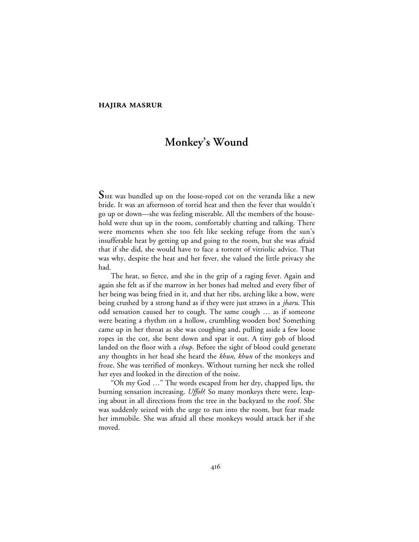# **HAJIRA MASRUR**

# **Monkey's Wound**

**S**HE was bundled up on the loose-roped cot on the veranda like a new bride. It was an afternoon of torrid heat and then the fever that wouldn't go up or down—she was feeling miserable. All the members of the household were shut up in the room, comfortably chatting and talking. There were moments when she too felt like seeking refuge from the sun's insufferable heat by getting up and going to the room, but she was afraid that if she did, she would have to face a torrent of vitriolic advice. That was why, despite the heat and her fever, she valued the little privacy she had.

The heat, so fierce, and she in the grip of a raging fever. Again and again she felt as if the marrow in her bones had melted and every fiber of her being was being fried in it, and that her ribs, arching like a bow, were being crushed by a strong hand as if they were just straws in a *jharu*. This odd sensation caused her to cough. The same cough … as if someone were beating a rhythm on a hollow, crumbling wooden box! Something came up in her throat as she was coughing and, pulling aside a few loose ropes in the cot, she bent down and spat it out. A tiny gob of blood landed on the floor with a *chup*. Before the sight of blood could generate any thoughts in her head she heard the *khun, khun* of the monkeys and froze. She was terrified of monkeys. Without turning her neck she rolled her eyes and looked in the direction of the noise.

"Oh my God …" The words escaped from her dry, chapped lips, the burning sensation increasing. *Uffoh*! So many monkeys there were, leaping about in all directions from the tree in the backyard to the roof. She was suddenly seized with the urge to run into the room, but fear made her immobile. She was afraid all these monkeys would attack her if she moved.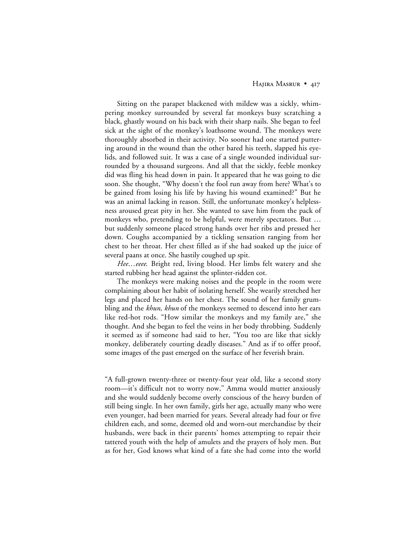## HAJIRA MASRUR • 417

Sitting on the parapet blackened with mildew was a sickly, whimpering monkey surrounded by several fat monkeys busy scratching a black, ghastly wound on his back with their sharp nails. She began to feel sick at the sight of the monkey's loathsome wound. The monkeys were thoroughly absorbed in their activity. No sooner had one started puttering around in the wound than the other bared his teeth, slapped his eyelids, and followed suit. It was a case of a single wounded individual surrounded by a thousand surgeons. And all that the sickly, feeble monkey did was fling his head down in pain. It appeared that he was going to die soon. She thought, "Why doesn't the fool run away from here? What's to be gained from losing his life by having his wound examined?" But he was an animal lacking in reason. Still, the unfortunate monkey's helplessness aroused great pity in her. She wanted to save him from the pack of monkeys who, pretending to be helpful, were merely spectators. But … but suddenly someone placed strong hands over her ribs and pressed her down. Coughs accompanied by a tickling sensation ranging from her chest to her throat. Her chest filled as if she had soaked up the juice of several paans at once. She hastily coughed up spit.

*Hee*…*eeee*. Bright red, living blood. Her limbs felt watery and she started rubbing her head against the splinter-ridden cot.

The monkeys were making noises and the people in the room were complaining about her habit of isolating herself. She wearily stretched her legs and placed her hands on her chest. The sound of her family grumbling and the *khun, khun* of the monkeys seemed to descend into her ears like red-hot rods. "How similar the monkeys and my family are," she thought. And she began to feel the veins in her body throbbing. Suddenly it seemed as if someone had said to her, "You too are like that sickly monkey, deliberately courting deadly diseases." And as if to offer proof, some images of the past emerged on the surface of her feverish brain.

"A full-grown twenty-three or twenty-four year old, like a second story room—it's difficult not to worry now," Amma would mutter anxiously and she would suddenly become overly conscious of the heavy burden of still being single. In her own family, girls her age, actually many who were even younger, had been married for years. Several already had four or five children each, and some, deemed old and worn-out merchandise by their husbands, were back in their parents' homes attempting to repair their tattered youth with the help of amulets and the prayers of holy men. But as for her, God knows what kind of a fate she had come into the world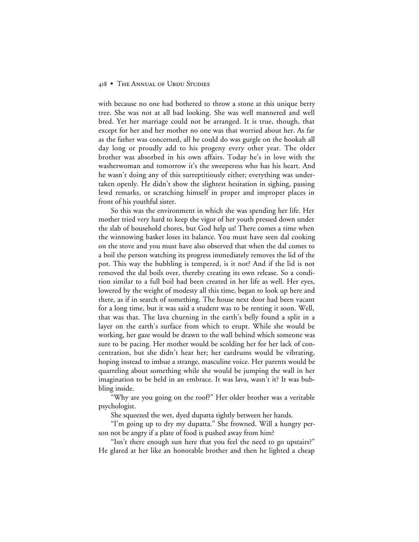# 418 • THE ANNUAL OF URDU STUDIES

with because no one had bothered to throw a stone at this unique berry tree. She was not at all bad looking. She was well mannered and well bred. Yet her marriage could not be arranged. It is true, though, that except for her and her mother no one was that worried about her. As far as the father was concerned, all he could do was gurgle on the hookah all day long or proudly add to his progeny every other year. The older brother was absorbed in his own affairs. Today he's in love with the washerwoman and tomorrow it's the sweeperess who has his heart. And he wasn't doing any of this surreptitiously either; everything was undertaken openly. He didn't show the slightest hesitation in sighing, passing lewd remarks, or scratching himself in proper and improper places in front of his youthful sister.

So this was the environment in which she was spending her life. Her mother tried very hard to keep the vigor of her youth pressed down under the slab of household chores, but God help us! There comes a time when the winnowing basket loses its balance. You must have seen dal cooking on the stove and you must have also observed that when the dal comes to a boil the person watching its progress immediately removes the lid of the pot. This way the bubbling is tempered, is it not? And if the lid is not removed the dal boils over, thereby creating its own release. So a condition similar to a full boil had been created in her life as well. Her eyes, lowered by the weight of modesty all this time, began to look up here and there, as if in search of something. The house next door had been vacant for a long time, but it was said a student was to be renting it soon. Well, that was that. The lava churning in the earth's belly found a split in a layer on the earth's surface from which to erupt. While she would be working, her gaze would be drawn to the wall behind which someone was sure to be pacing. Her mother would be scolding her for her lack of concentration, but she didn't hear her; her eardrums would be vibrating, hoping instead to imbue a strange, masculine voice. Her parents would be quarreling about something while she would be jumping the wall in her imagination to be held in an embrace. It was lava, wasn't it? It was bubbling inside.

"Why are you going on the roof?" Her older brother was a veritable psychologist.

She squeezed the wet, dyed dupatta tightly between her hands.

"I'm going up to dry my dupatta." She frowned. Will a hungry person not be angry if a plate of food is pushed away from him?

"Isn't there enough sun here that you feel the need to go upstairs?" He glared at her like an honorable brother and then he lighted a cheap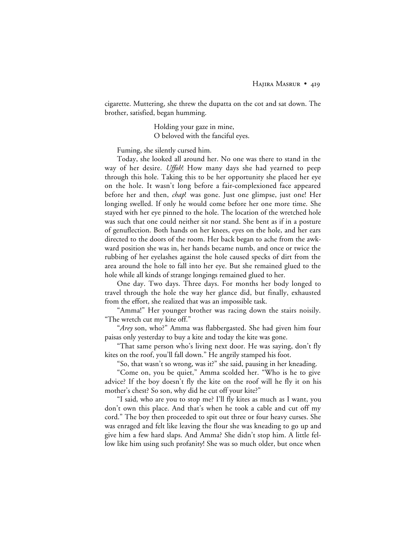cigarette. Muttering, she threw the dupatta on the cot and sat down. The brother, satisfied, began humming.

> Holding your gaze in mine, O beloved with the fanciful eyes.

Fuming, she silently cursed him.

Today, she looked all around her. No one was there to stand in the way of her desire. *Uffoh*! How many days she had yearned to peep through this hole. Taking this to be her opportunity she placed her eye on the hole. It wasn't long before a fair-complexioned face appeared before her and then, *chap*! was gone. Just one glimpse, just one! Her longing swelled. If only he would come before her one more time. She stayed with her eye pinned to the hole. The location of the wretched hole was such that one could neither sit nor stand. She bent as if in a posture of genuflection. Both hands on her knees, eyes on the hole, and her ears directed to the doors of the room. Her back began to ache from the awkward position she was in, her hands became numb, and once or twice the rubbing of her eyelashes against the hole caused specks of dirt from the area around the hole to fall into her eye. But she remained glued to the hole while all kinds of strange longings remained glued to her.

One day. Two days. Three days. For months her body longed to travel through the hole the way her glance did, but finally, exhausted from the effort, she realized that was an impossible task.

"Amma!" Her younger brother was racing down the stairs noisily. "The wretch cut my kite off."

"*Arey* son, who?" Amma was flabbergasted. She had given him four paisas only yesterday to buy a kite and today the kite was gone.

"That same person who's living next door. He was saying, don't fly kites on the roof, you'll fall down." He angrily stamped his foot.

"So, that wasn't so wrong, was it?" she said, pausing in her kneading.

"Come on, you be quiet," Amma scolded her. "Who is he to give advice? If the boy doesn't fly the kite on the roof will he fly it on his mother's chest? So son, why did he cut off your kite?"

"I said, who are you to stop me? I'll fly kites as much as I want, you don't own this place. And that's when he took a cable and cut off my cord." The boy then proceeded to spit out three or four heavy curses. She was enraged and felt like leaving the flour she was kneading to go up and give him a few hard slaps. And Amma? She didn't stop him. A little fellow like him using such profanity! She was so much older, but once when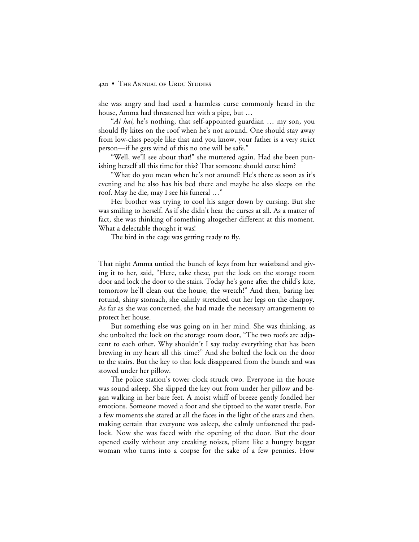#### 420 • THE ANNUAL OF URDU STUDIES

she was angry and had used a harmless curse commonly heard in the house, Amma had threatened her with a pipe, but …

"*Ai hai*, he's nothing, that self-appointed guardian … my son, you should fly kites on the roof when he's not around. One should stay away from low-class people like that and you know, your father is a very strict person—if he gets wind of this no one will be safe."

"Well, we'll see about that!" she muttered again. Had she been punishing herself all this time for this? That someone should curse him?

"What do you mean when he's not around? He's there as soon as it's evening and he also has his bed there and maybe he also sleeps on the roof. May he die, may I see his funeral …"

Her brother was trying to cool his anger down by cursing. But she was smiling to herself. As if she didn't hear the curses at all. As a matter of fact, she was thinking of something altogether different at this moment. What a delectable thought it was!

The bird in the cage was getting ready to fly.

That night Amma untied the bunch of keys from her waistband and giving it to her, said, "Here, take these, put the lock on the storage room door and lock the door to the stairs. Today he's gone after the child's kite, tomorrow he'll clean out the house, the wretch!" And then, baring her rotund, shiny stomach, she calmly stretched out her legs on the charpoy. As far as she was concerned, she had made the necessary arrangements to protect her house.

But something else was going on in her mind. She was thinking, as she unbolted the lock on the storage room door, "The two roofs are adjacent to each other. Why shouldn't I say today everything that has been brewing in my heart all this time?" And she bolted the lock on the door to the stairs. But the key to that lock disappeared from the bunch and was stowed under her pillow.

The police station's tower clock struck two. Everyone in the house was sound asleep. She slipped the key out from under her pillow and began walking in her bare feet. A moist whiff of breeze gently fondled her emotions. Someone moved a foot and she tiptoed to the water trestle. For a few moments she stared at all the faces in the light of the stars and then, making certain that everyone was asleep, she calmly unfastened the padlock. Now she was faced with the opening of the door. But the door opened easily without any creaking noises, pliant like a hungry beggar woman who turns into a corpse for the sake of a few pennies. How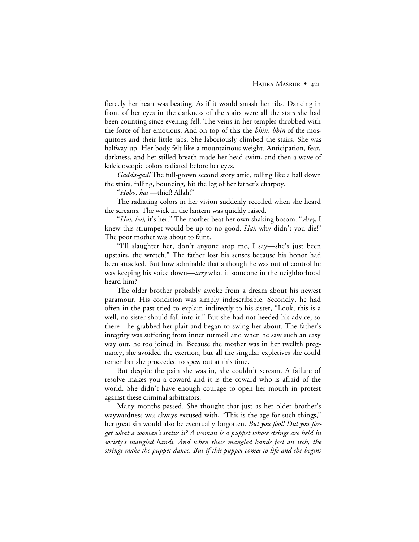fiercely her heart was beating. As if it would smash her ribs. Dancing in front of her eyes in the darkness of the stairs were all the stars she had been counting since evening fell. The veins in her temples throbbed with the force of her emotions. And on top of this the *bhin, bhin* of the mosquitoes and their little jabs. She laboriously climbed the stairs. She was halfway up. Her body felt like a mountainous weight. Anticipation, fear, darkness, and her stilled breath made her head swim, and then a wave of kaleidoscopic colors radiated before her eyes.

*Gadda-gad!* The full-grown second story attic, rolling like a ball down the stairs, falling, bouncing, hit the leg of her father's charpoy.

"*Hoho, hai* —thief! Allah!"

The radiating colors in her vision suddenly recoiled when she heard the screams. The wick in the lantern was quickly raised.

"*Hai, hai*, it's her." The mother beat her own shaking bosom. "*Arey*, I knew this strumpet would be up to no good. *Hai*, why didn't you die!" The poor mother was about to faint.

"I'll slaughter her, don't anyone stop me, I say—she's just been upstairs, the wretch." The father lost his senses because his honor had been attacked. But how admirable that although he was out of control he was keeping his voice down—*arey* what if someone in the neighborhood heard him?

The older brother probably awoke from a dream about his newest paramour. His condition was simply indescribable. Secondly, he had often in the past tried to explain indirectly to his sister, "Look, this is a well, no sister should fall into it." But she had not heeded his advice, so there—he grabbed her plait and began to swing her about. The father's integrity was suffering from inner turmoil and when he saw such an easy way out, he too joined in. Because the mother was in her twelfth pregnancy, she avoided the exertion, but all the singular expletives she could remember she proceeded to spew out at this time.

But despite the pain she was in, she couldn't scream. A failure of resolve makes you a coward and it is the coward who is afraid of the world. She didn't have enough courage to open her mouth in protest against these criminal arbitrators.

Many months passed. She thought that just as her older brother's waywardness was always excused with, "This is the age for such things," her great sin would also be eventually forgotten. *But you fool! Did you forget what a woman's status is? A woman is a puppet whose strings are held in society's mangled hands. And when these mangled hands feel an itch, the strings make the puppet dance. But if this puppet comes to life and she begins*